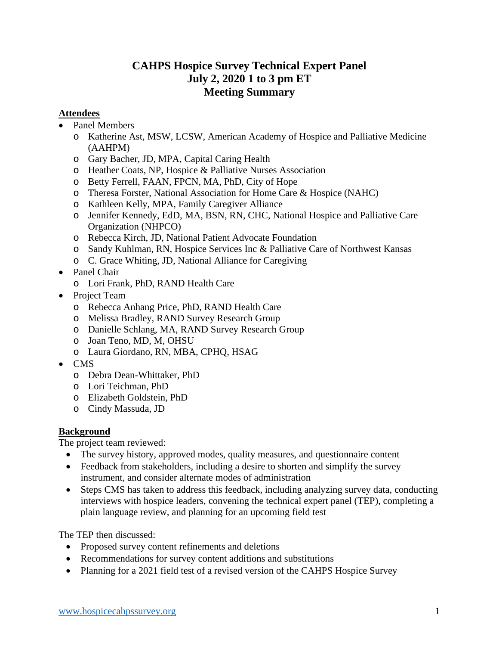## **CAHPS Hospice Survey Technical Expert Panel July 2, 2020 1 to 3 pm ET Meeting Summary**

#### **Attendees**

- Panel Members
	- o Katherine Ast, MSW, LCSW, American Academy of Hospice and Palliative Medicine (AAHPM)
	- o Gary Bacher, JD, MPA, Capital Caring Health
	- o Heather Coats, NP, Hospice & Palliative Nurses Association
	- o Betty Ferrell, FAAN, FPCN, MA, PhD, City of Hope
	- o Theresa Forster, National Association for Home Care & Hospice (NAHC)
	- o Kathleen Kelly, MPA, Family Caregiver Alliance
	- o Jennifer Kennedy, EdD, MA, BSN, RN, CHC, National Hospice and Palliative Care Organization (NHPCO)
	- o Rebecca Kirch, JD, National Patient Advocate Foundation
	- o Sandy Kuhlman, RN, Hospice Services Inc & Palliative Care of Northwest Kansas
	- o C. Grace Whiting, JD, National Alliance for Caregiving
- Panel Chair
	- o Lori Frank, PhD, RAND Health Care
- Project Team
	- o Rebecca Anhang Price, PhD, RAND Health Care
	- o Melissa Bradley, RAND Survey Research Group
	- o Danielle Schlang, MA, RAND Survey Research Group
	- o Joan Teno, MD, M, OHSU
	- o Laura Giordano, RN, MBA, CPHQ, HSAG
- CMS
	- o Debra Dean-Whittaker, PhD
	- o Lori Teichman, PhD
	- o Elizabeth Goldstein, PhD
	- o Cindy Massuda, JD

### **Background**

The project team reviewed:

- The survey history, approved modes, quality measures, and questionnaire content
- Feedback from stakeholders, including a desire to shorten and simplify the survey instrument, and consider alternate modes of administration
- Steps CMS has taken to address this feedback, including analyzing survey data, conducting interviews with hospice leaders, convening the technical expert panel (TEP), completing a plain language review, and planning for an upcoming field test

The TEP then discussed:

- Proposed survey content refinements and deletions
- Recommendations for survey content additions and substitutions
- Planning for a 2021 field test of a revised version of the CAHPS Hospice Survey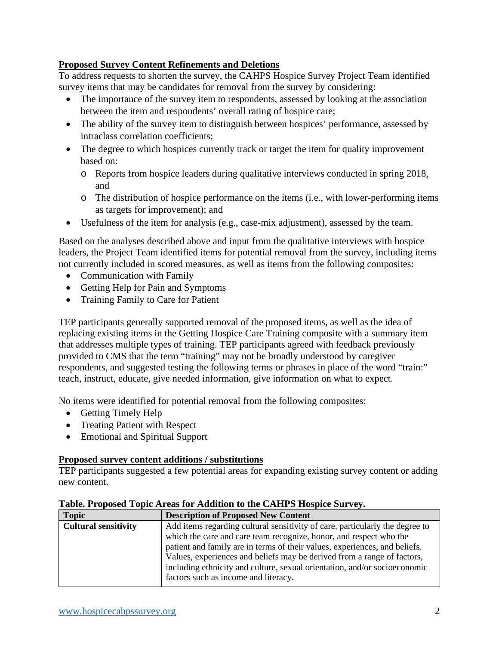#### **Proposed Survey Content Refinements and Deletions**

To address requests to shorten the survey, the CAHPS Hospice Survey Project Team identified survey items that may be candidates for removal from the survey by considering:

- The importance of the survey item to respondents, assessed by looking at the association between the item and respondents' overall rating of hospice care;
- The ability of the survey item to distinguish between hospices' performance, assessed by intraclass correlation coefficients;
- The degree to which hospices currently track or target the item for quality improvement based on:
	- o Reports from hospice leaders during qualitative interviews conducted in spring 2018, and
	- o The distribution of hospice performance on the items (i.e., with lower-performing items as targets for improvement); and
- Usefulness of the item for analysis (e.g., case-mix adjustment), assessed by the team.

Based on the analyses described above and input from the qualitative interviews with hospice leaders, the Project Team identified items for potential removal from the survey, including items not currently included in scored measures, as well as items from the following composites:

- Communication with Family
- Getting Help for Pain and Symptoms
- Training Family to Care for Patient

TEP participants generally supported removal of the proposed items, as well as the idea of replacing existing items in the Getting Hospice Care Training composite with a summary item that addresses multiple types of training. TEP participants agreed with feedback previously provided to CMS that the term "training" may not be broadly understood by caregiver respondents, and suggested testing the following terms or phrases in place of the word "train:" teach, instruct, educate, give needed information, give information on what to expect.

No items were identified for potential removal from the following composites:

- Getting Timely Help
- Treating Patient with Respect
- Emotional and Spiritual Support

#### **Proposed survey content additions / substitutions**

TEP participants suggested a few potential areas for expanding existing survey content or adding new content.

| <b>Topic</b>                | <b>Description of Proposed New Content</b>                                   |
|-----------------------------|------------------------------------------------------------------------------|
| <b>Cultural sensitivity</b> | Add items regarding cultural sensitivity of care, particularly the degree to |
|                             | which the care and care team recognize, honor, and respect who the           |
|                             | patient and family are in terms of their values, experiences, and beliefs.   |
|                             | Values, experiences and beliefs may be derived from a range of factors,      |
|                             | including ethnicity and culture, sexual orientation, and/or socioeconomic    |
|                             | factors such as income and literacy.                                         |
|                             |                                                                              |

#### **Table. Proposed Topic Areas for Addition to the CAHPS Hospice Survey.**